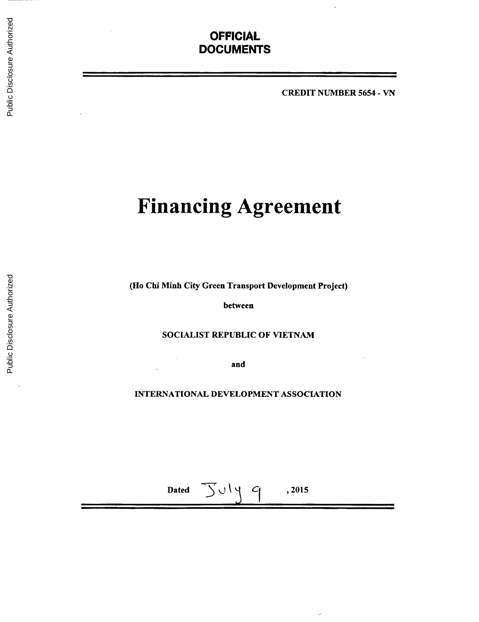# **OFFICIAL DOCUMENTS**

CREDIT **NUMBER 5654 - VN**

# **Financing Agreement**

(Ho Chi Minh City Green Transport Development Project)

between

**SOCIALIST** REPUBLIC OF **VIETNAM**

and

 $\bar{z}$ 

**INTERNATIONAL DEVELOPMENT ASSOCIATION**

Dated  $\bigcup \cup \bigcup \{$   $\bigcap$  , 2015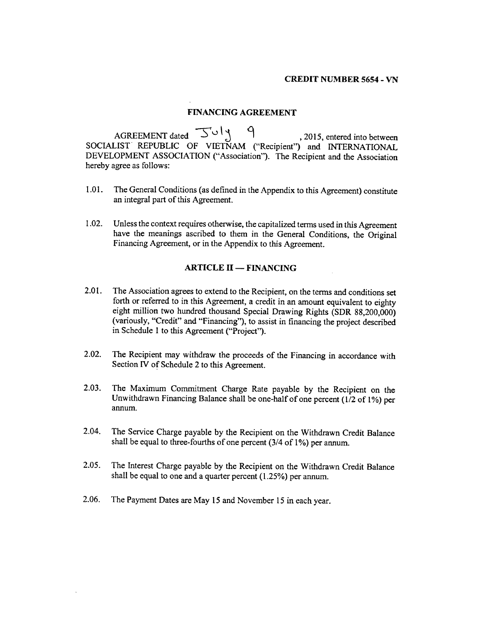#### **FINANCING AGREEMENT**

AGREEMENT dated  $\overline{S} \cup \overline{S}$  9, 2015, entered into between **SOCIALIST** REPUBLIC OF **VIETNAM** ("Recipient") and **INTERNATIONAL DEVELOPMENT ASSOCIATION** ("Association"). The Recipient and the Association hereby agree as follows:

- **1.01.** The General Conditions (as defined in the Appendix to this Agreement) constitute an integral part of this Agreement.
- 1.02. Unless the context requires otherwise, the capitalized terms used in this Agreement have the meanings ascribed to them in the General Conditions, the Original Financing Agreement, or in the Appendix to this Agreement.

# **ARTICLE II - FINANCING**

- 2.01. The Association agrees to extend to the Recipient, on the terms and conditions set forth or referred to in this Agreement, a credit in an amount equivalent to eighty eight million two hundred thousand Special Drawing Rights (SDR 88,200,000) (variously, "Credit" and "Financing"), to assist in financing the project described in Schedule 1 to this Agreement ("Project").
- 2.02. The Recipient may withdraw the proceeds of the Financing in accordance with Section IV of Schedule 2 to this Agreement.
- **2.03.** The Maximum Commitment Charge Rate payable **by** the Recipient on the Unwithdrawn Financing Balance shall be one-half of one percent (1/2 of **1%)** per annum.
- 2.04. The Service Charge payable **by** the Recipient on the Withdrawn Credit Balance shall be equal to three-fourths of one percent (3/4 of **1%)** per annum.
- **2.05.** The Interest Charge payable **by** the Recipient on the Withdrawn Credit Balance shall be equal to one and a quarter percent *(1.25%)* per annum.
- **2.06.** The Payment Dates are May **15** and November **15** in each year.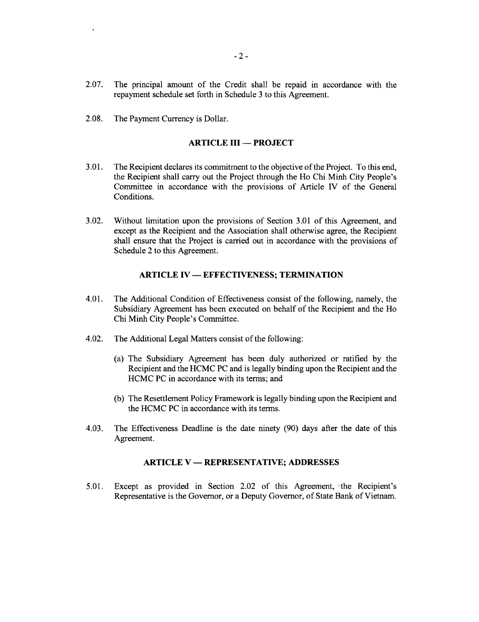- **2.07.** The principal amount of the Credit shall be repaid in accordance with the repayment schedule set forth in Schedule **3** to this Agreement.
- **2.08.** The Payment Currency is Dollar.

 $\bullet$ 

# **ARTICLE III - PROJECT**

- **3.01.** The Recipient declares its commitment to the objective of the Project. To this end, the Recipient shall carry out the Project through the Ho Chi Minh City People's Committee in accordance with the provisions of Article **IV** of the General Conditions.
- **3.02.** Without limitation upon the provisions of Section **3.01** of this Agreement, and except as the Recipient and the Association shall otherwise agree, the Recipient shall ensure that the Project is carried out in accordance with the provisions of Schedule 2 to this Agreement.

#### **ARTICLE IV - EFFECTIVENESS; TERMINATION**

- 4.01. The Additional Condition of Effectiveness consist of the following, namely, the Subsidiary Agreement has been executed on behalf of the Recipient and the Ho Chi Minh City People's Committee.
- 4.02. The Additional Legal Matters consist of the following:
	- (a) The Subsidiary Agreement has been duly authorized or ratified **by** the Recipient and the **HCMC PC** and is legally binding upon the Recipient and the **HCMC PC** in accordance with its terms; and
	- **(b)** The Resettlement Policy Framework is legally binding upon the Recipient and the **HCMC PC** in accordance with its terms.
- 4.03. The Effectiveness Deadline is the date ninety **(90)** days after the date of this Agreement.

#### **ARTICLE V - REPRESENTATIVE; ADDRESSES**

*5.01.* Except as provided in Section 2.02 of this Agreement, -the Recipient's Representative is the Governor, or a Deputy Governor, of State Bank of Vietnam.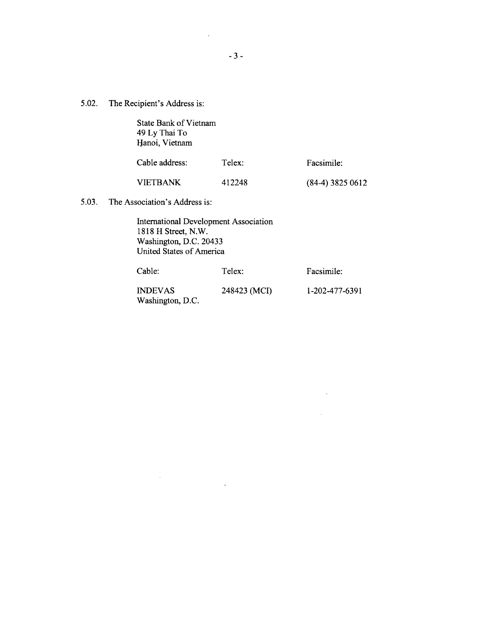**5.02.** The Recipient's Address is:

State Bank of Vietnam 49 **Ly** Thai To Hanoi, Vietnam

| Cable address:  | Telex: | Facsimile:         |  |
|-----------------|--------|--------------------|--|
| <b>VIETBANK</b> | 412248 | $(84-4)$ 3825 0612 |  |

**5.03.** The Association's Address is:

 $\sim$ 

 $\bar{\mathcal{A}}$ 

International Development Association **1818** H Street, N.W. Washington, **D.C.** 20433 United States of America

| Cable:           | Telex:       | Facsimile:     |
|------------------|--------------|----------------|
| <b>INDEVAS</b>   | 248423 (MCI) | 1-202-477-6391 |
| Washington, D.C. |              |                |

 $\bar{\beta}$ 

 $\mathcal{L}$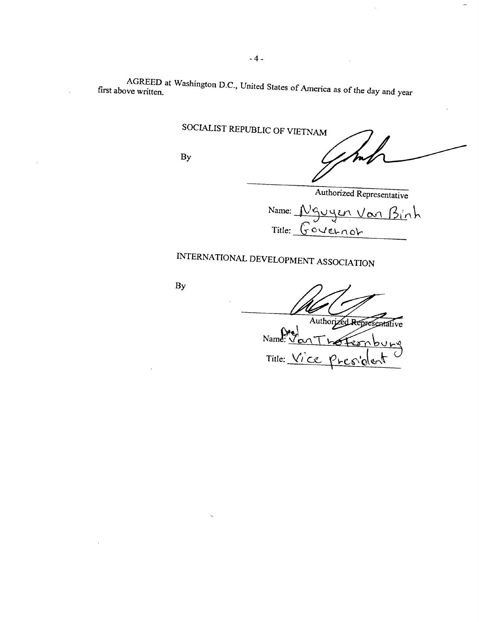AGREED at Washington **D.C.,** United States **of** America as of the day and year first above written.

SOCIALIST REPUBLIC OF **VIETNAM**

**By**

Authorized Representative

Name: Nguyen Van Binh  $Title:  $6040 \times n0$$ 

# **INTERNATIONAL DEVELOPMENT ASSOCIATION**

**By**

Authorized Representative

<u>Name: Van Trofer</u> Title: Ÿ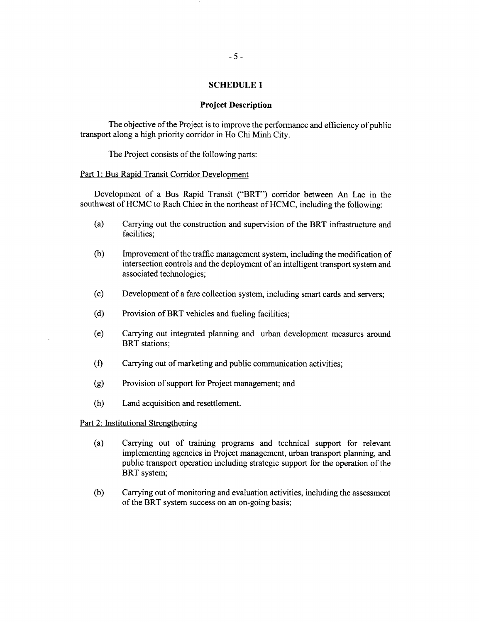#### **SCHEDULE 1**

#### **Project Description**

The objective of the Project is to improve the performance and efficiency of public transport along a high priority corridor in Ho Chi Minh City.

The Project consists of the following parts:

#### Part **1:** Bus Rapid Transit Corridor Development

Development of a Bus Rapid Transit ("BRT") corridor between An Lac in the southwest of **HCMC** to Rach Chiec in the northeast of **HCMC,** including the following:

- (a) Carrying out the construction and supervision of the BRT infrastructure and facilities;
- **(b)** Improvement of the traffic management system, including the modification of intersection controls and the deployment of an intelligent transport system and associated technologies;
- **(c)** Development of a fare collection system, including smart cards and servers;
- **(d)** Provision of BRT vehicles and fueling facilities;
- (e) Carrying out integrated planning and urban development measures around BRT stations:
- **(f)** Carrying out of marketing and public communication activities;
- **(g)** Provision of support for Project management; and
- (h) Land acquisition and resettlement.

#### Part 2: Institutional Strengthening

- (a) Carrying out of training programs and technical support for relevant implementing agencies in Project management, urban transport planning, and public transport operation including strategic support for the operation of the BRT system;
- **(b)** Carrying out of monitoring and evaluation activities, including the assessment of the BRT system success on an on-going basis;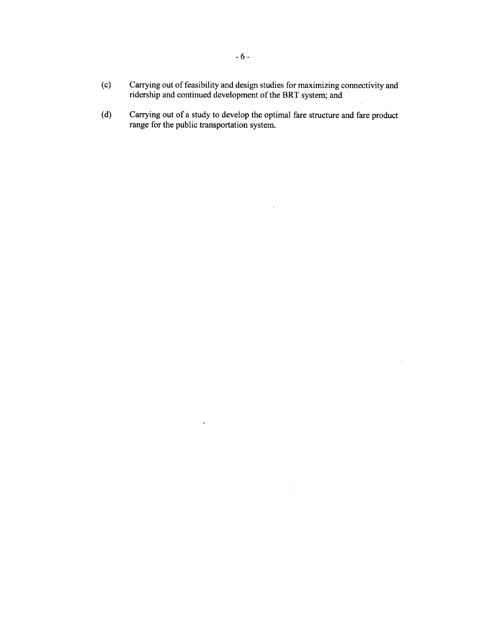- **(c)** Carrying out of feasibility and design studies for maximizing connectivity and ridership and continued development of the BRT system; and
- **(d)** Carrying out of a study to develop the optimal fare structure and fare product range for the public transportation system.

 $\mathcal{L}$ 

 $\mathcal{L}$ 

 $\hat{\mathcal{A}}$ 

 $\bar{\omega}$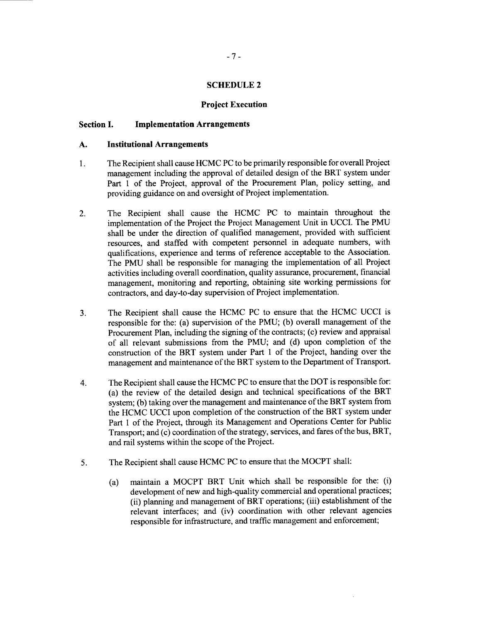#### **SCHEDULE 2**

#### **Project Execution**

#### **Section I. Implementation Arrangements**

#### **A. Institutional Arrangements**

- **1.** The Recipient shall cause **HCMC PC** to be primarily responsible for overall Project management including the approval of detailed design of the BRT system under Part 1 of the Project, approval of the Procurement Plan, policy setting, and providing guidance on and oversight of Project implementation.
- 2. The Recipient shall cause the **HCMC PC** to maintain throughout the implementation of the Project the Project Management Unit in **UCCI.** The **PMU** shall be under the direction of qualified management, provided with sufficient resources, and staffed with competent personnel in adequate numbers, with qualifications, experience and terms of reference acceptable to the Association. The **PMU** shall be responsible for managing the implementation of all Project activities including overall coordination, quality assurance, procurement, financial management, monitoring and reporting, obtaining site working permissions for contractors, and day-to-day supervision of Project implementation.
- **3.** The Recipient shall cause the **HCMC PC** to ensure that the **HCMC UCCI** is responsible for the: (a) supervision of the **PMU; (b)** overall management of the Procurement Plan, including the signing of the contracts; **(c)** review and appraisal of all relevant submissions from the **PMU;** and **(d)** upon completion of the construction of the BRT system under Part 1 of the Project, handing over the management and maintenance of the BRT system to the Department of Transport.
- 4. The Recipient shall cause the **HCMC PC** to ensure that the DOT is responsible for: (a) the review of the detailed design and technical specifications of the BRT system; **(b)** taking over the management and maintenance of the BRT system from the **HCMC UCCI** upon completion of the construction of the BRT system under Part **1** of the Project, through its Management and Operations Center for Public Transport; and (c) coordination of the strategy, services, and fares of the bus, BRT, and rail systems within the scope of the Project.
- **5.** The Recipient shall cause **HCMC PC** to ensure that the MOCPT shall:
	- (a) maintain a MOCPT BRT Unit which shall be responsible for the: (i) development of new and high-quality commercial and operational practices; (ii) planning and management of BRT operations; (iii) establishment of the relevant interfaces; and (iv) coordination with other relevant agencies responsible for infrastructure, and traffic management and enforcement;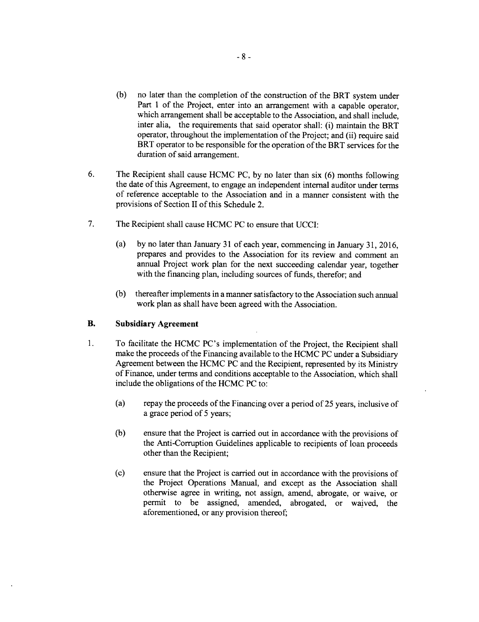- **(b)** no later than the completion of the construction of the BRT system under Part 1 of the Project, enter into an arrangement with a capable operator, which arrangement shall be acceptable to the Association, and shall include, inter alia, the requirements that said operator shall: (i) maintain the BRT operator, throughout the implementation of the Project; and (ii) require said BRT operator to be responsible for the operation of the BRT services for the duration of said arrangement.
- **6.** The Recipient shall cause **HCMC PC, by** no later than six **(6)** months following the date of this Agreement, to engage an independent internal auditor under terms of reference acceptable to the Association and in a manner consistent with the provisions of Section II of this Schedule 2.
- **7.** The Recipient shall cause **HCMC PC** to ensure that **UCCI:**
	- (a) **by** no later than January **31** of each year, commencing in January **31, 2016,** prepares and provides to the Association for its review and comment an annual Project work plan for the next succeeding calendar year, together with the financing plan, including sources of funds, therefor; and
	- **(b)** thereafter implements in a manner satisfactory to the Association such annual work plan as shall have been agreed with the Association.

# B. **Subsidiary Agreement**

- 1. To facilitate the **HCMC** PC's implementation of the Project, the Recipient shall make the proceeds of the Financing available to the **HCMC PC** under a Subsidiary Agreement between the **HCMC PC** and the Recipient, represented **by** its Ministry of Finance, under terms and conditions acceptable to the Association, which shall include the obligations of the **HCMC PC** to:
	- (a) repay the proceeds of the Financing over a period of **25** years, inclusive of a grace period of **5** years;
	- **(b)** ensure that the Project is carried out in accordance with the provisions of the Anti-Corruption Guidelines applicable to recipients of loan proceeds other than the Recipient;
	- **(c)** ensure that the Project is carried out in accordance with the provisions of the Project Operations Manual, and except as the Association shall otherwise agree in writing, not assign, amend, abrogate, or waive, or permit to be assigned, amended, abrogated, or waived, the aforementioned, or any provision thereof;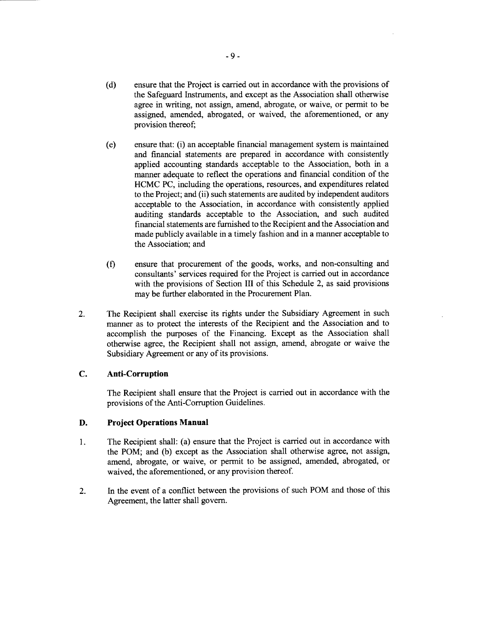- **(d)** ensure that the Project is carried out in accordance with the provisions of the Safeguard Instruments, and except as the Association shall otherwise agree in writing, not assign, amend, abrogate, or waive, or permit to be assigned, amended, abrogated, or waived, the aforementioned, or any provision thereof;
- (e) ensure that: (i) an acceptable financial management system is maintained and financial statements are prepared in accordance with consistently applied accounting standards acceptable to the Association, both in a manner adequate to reflect the operations and financial condition of the **HCMC PC,** including the operations, resources, and expenditures related to the Project; and (ii) such statements are audited **by** independent auditors acceptable to the Association, in accordance with consistently applied auditing standards acceptable to the Association, and such audited financial statements are furnished to the Recipient and the Association and made publicly available in a timely fashion and in a manner acceptable to the Association; and
- **(f)** ensure that procurement of the goods, works, and non-consulting and consultants' services required for the Project is carried out in accordance with the provisions of Section III of this Schedule 2, as said provisions may be further elaborated in the Procurement Plan.
- 2. The Recipient shall exercise its rights under the Subsidiary Agreement in such manner as to protect the interests of the Recipient and the Association and to accomplish the purposes of the Financing. Except as the Association shall otherwise agree, the Recipient shall not assign, amend, abrogate or waive the Subsidiary Agreement or any of its provisions.

# **C. Anti-Corruption**

The Recipient shall ensure that the Project is carried out in accordance with the provisions of the Anti-Corruption Guidelines.

#### **D. Project Operations Manual**

- 1 **.** The Recipient shall: (a) ensure that the Project is carried out in accordance with the POM; and **(b)** except as the Association shall otherwise agree, not assign, amend, abrogate, or waive, or permit to be assigned, amended, abrogated, or waived, the aforementioned, or any provision thereof.
- 2. In the event of a conflict between the provisions of such POM and those of this Agreement, the latter shall govern.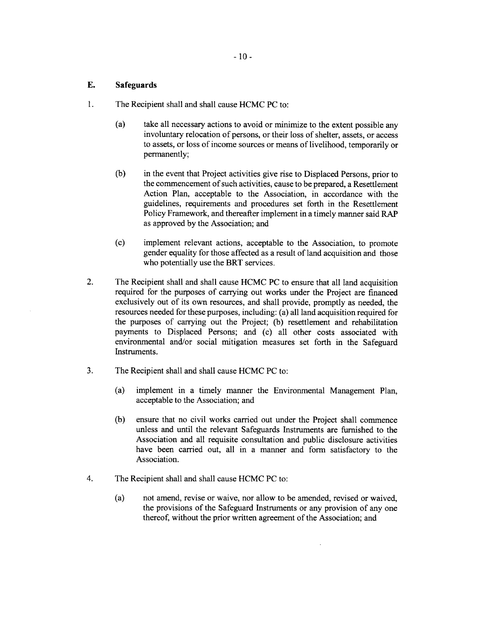# **E. Safeguards**

- 1. The Recipient shall and shall cause **HCMC PC** to:
	- (a) take all necessary actions to avoid or minimize to the extent possible any involuntary relocation of persons, or their loss of shelter, assets, or access to assets, or loss of income sources or means of livelihood, temporarily or permanently;
	- **(b)** in the event that Project activities give rise to Displaced Persons, prior to the commencement of such activities, cause to be prepared, a Resettlement Action Plan, acceptable to the Association, in accordance with the guidelines, requirements and procedures set forth in the Resettlement Policy Framework, and thereafter implement in a timely manner said RAP as approved **by** the Association; and
	- **(c)** implement relevant actions, acceptable to the Association, to promote gender equality for those affected as a result of land acquisition and those who potentially use the BRT services.
- 2. The Recipient shall and shall cause **HCMC PC** to ensure that all land acquisition required for the purposes of carrying out works under the Project are financed exclusively out of its own resources, and shall provide, promptly as needed, the resources needed for these purposes, including: (a) all land acquisition required for the purposes of carrying out the Project; **(b)** resettlement and rehabilitation payments to Displaced Persons; and (c) all other costs associated with environmental and/or social mitigation measures set forth in the Safeguard Instruments.
- **3.** The Recipient shall and shall cause **HCMC PC** to:
	- (a) implement in a timely manner the Environmental Management Plan, acceptable to the Association; and
	- **(b)** ensure that no civil works carried out under the Project shall commence unless and until the relevant Safeguards Instruments are furnished to the Association and all requisite consultation and public disclosure activities have been carried out, all in a manner and form satisfactory to the Association.
- 4. The Recipient shall and shall cause **HCMC PC** to:
	- (a) not amend, revise or waive, nor allow to be amended, revised or waived, the provisions of the Safeguard Instruments or any provision of any one thereof, without the prior written agreement of the Association; and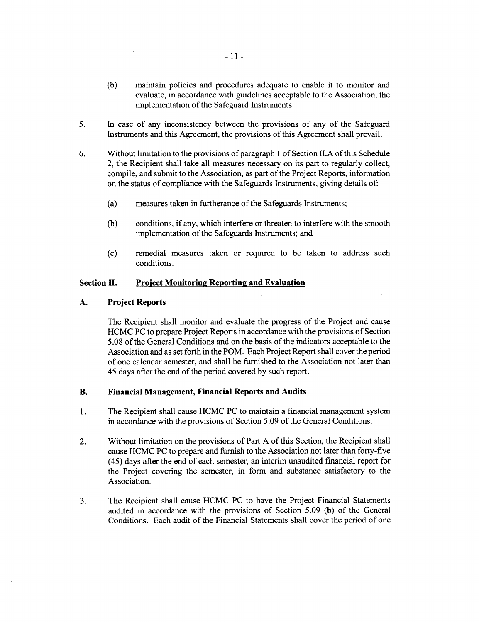- **(b)** maintain policies and procedures adequate to enable it to monitor and evaluate, in accordance with guidelines acceptable to the Association, the implementation of the Safeguard Instruments.
- **5.** In case of any inconsistency between the provisions of any of the Safeguard Instruments and this Agreement, the provisions of this Agreement shall prevail.
- **6.** Without limitation to the provisions of paragraph **I** of Section **II.A** of this Schedule 2, the Recipient shall take all measures necessary on its part to regularly collect, compile, and submit to the Association, as part of the Project Reports, information on the status of compliance with the Safeguards Instruments, giving details of:
	- (a) measures taken in furtherance of the Safeguards Instruments;
	- **(b)** conditions, if any, which interfere or threaten to interfere with the smooth implementation of the Safeguards Instruments; and
	- **(c)** remedial measures taken or required to be taken to address such conditions.

#### **Section II. Project Monitorin2 Reportin2 and Evaluation**

#### **A. Project Reports**

The Recipient shall monitor and evaluate the progress of the Project and cause **HCMC PC** to prepare Project Reports in accordance with the provisions of Section **5.08** of the General Conditions and on the basis of the indicators acceptable to the Association and as set forth in the POM. Each Project Report shall cover the period of one calendar semester, and shall be furnished to the Association not later than 45 days after the end of the period covered **by** such report.

#### B. **Financial Management, Financial Reports and Audits**

- 1 **.** The Recipient shall cause **HCMC PC** to maintain a financial management system in accordance with the provisions of Section **5.09** of the General Conditions.
- 2. Without limitation on the provisions of Part **A** of this Section, the Recipient shall cause **HCMC PC** to prepare and furnish to the Association not later than forty-five (45) days after the end of each semester, an interim unaudited financial report for the Project covering the semester, in form and substance satisfactory to the Association.
- **3.** The Recipient shall cause **HCMC PC** to have the Project Financial Statements audited in accordance with the provisions of Section **5.09 (b)** of the General Conditions. Each audit of the Financial Statements shall cover the period of one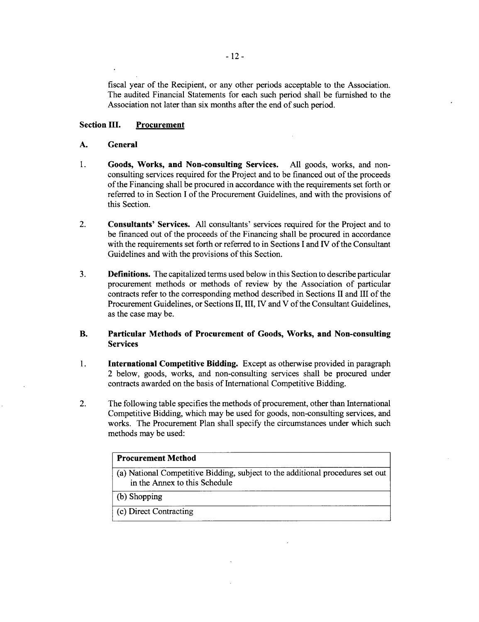fiscal year of the Recipient, or any other periods acceptable to the Association. The audited Financial Statements for each such period shall be furnished to the Association not later than six months after the end of such period.

# **Section III. Procurement**

#### **A. General**

- 1 **. Goods, Works, and Non-consulting Services. All goods, works, and** nonconsulting services required for the Project and to be financed out of the proceeds of the Financing shall be procured in accordance with the requirements set forth or referred to in Section **I** of the Procurement Guidelines, and with the provisions of this Section.
- **2. Consultants' Services. All** consultants' services required for the Project and to be financed out of the proceeds of the Financing shall be procured in accordance with the requirements set forth or referred to in Sections **I** and IV of the Consultant Guidelines and with the provisions of this Section.
- **3. Definitions. The** capitalized terms used below in this Section to describe particular procurement methods or methods of review **by** the Association of particular contracts refer to the corresponding method described in Sections II and **III** of the Procurement Guidelines, or Sections II, III, IV and V of the Consultant Guidelines, as the case may be.

# **B. Particular Methods of Procurement of Goods, Works, and Non-consulting Services**

- 1 **. International Competitive Bidding.** Except as otherwise provided in paragraph **2 below, goods,** works, and non-consulting services shall be procured under contracts awarded on the basis of International Competitive Bidding.
- 2. The following table specifies the methods of procurement, other than International Competitive Bidding, which may be used for goods, non-consulting services, and works. The Procurement Plan shall specify the circumstances under which such methods may be used:

| <b>Procurement Method</b>                                                                                       |  |
|-----------------------------------------------------------------------------------------------------------------|--|
| (a) National Competitive Bidding, subject to the additional procedures set out<br>in the Annex to this Schedule |  |
| (b) Shopping                                                                                                    |  |
| (c) Direct Contracting                                                                                          |  |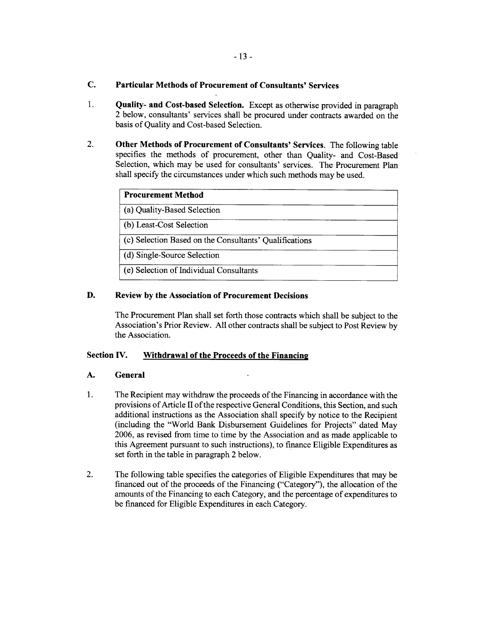# **C. Particular Methods of Procurement of Consultants' Services**

- **1. Quality- and Cost-based Selection.** Except as otherwise provided in paragraph 2 below, consultants' services shall be procured under contracts awarded on the basis of Quality and Cost-based Selection.
- **2. Other Methods of Procurement of Consultants' Services.** The following table specifies the methods of procurement, other than Quality- and Cost-Based Selection, which may be used for consultants' services. The Procurement Plan shall specify the circumstances under which such methods may be used.

| <b>Procurement Method</b>                              |  |
|--------------------------------------------------------|--|
| (a) Quality-Based Selection                            |  |
| (b) Least-Cost Selection                               |  |
| (c) Selection Based on the Consultants' Qualifications |  |
| (d) Single-Source Selection                            |  |
| (e) Selection of Individual Consultants                |  |

# **D. Review by the Association of Procurement Decisions**

The Procurement Plan shall set forth those contracts which shall be subject to the Association's Prior Review. **All** other contracts shall be subject to Post Review **by** the Association.

# **Section IV. Withdrawal of the Proceeds of the Financing**

# **A. General**

- **1.** The Recipient may withdraw the proceeds of the Financing in accordance with the provisions of Article Il of the respective General Conditions, this Section, and such additional instructions as the Association shall specify **by** notice to the Recipient (including the "World Bank Disbursement Guidelines for Projects" dated May **2006,** as revised from time to time **by** the Association and as made applicable to this Agreement pursuant to such instructions), to finance Eligible Expenditures as set forth in the table in paragraph 2 below.
- 2. The following table specifies the categories of Eligible Expenditures that may be financed out of the proceeds of the Financing ("Category"), the allocation of the amounts of the Financing to each Category, and the percentage of expenditures to be financed for Eligible Expenditures in each Category.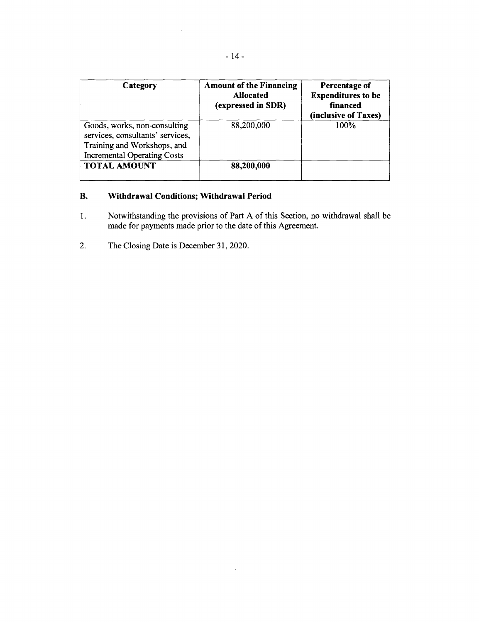| Category                                                                                                                              | <b>Amount of the Financing</b><br><b>Allocated</b><br>(expressed in SDR) | Percentage of<br><b>Expenditures to be</b><br>financed<br>(inclusive of Taxes) |
|---------------------------------------------------------------------------------------------------------------------------------------|--------------------------------------------------------------------------|--------------------------------------------------------------------------------|
| Goods, works, non-consulting<br>services, consultants' services,<br>Training and Workshops, and<br><b>Incremental Operating Costs</b> | 88,200,000                                                               | 100%                                                                           |
| <b>TOTAL AMOUNT</b>                                                                                                                   | 88,200,000                                                               |                                                                                |

# **B. Withdrawal Conditions; Withdrawal Period**

 $\bar{z}$ 

**1.** Notwithstanding the provisions of Part **A** of this Section, no withdrawal shall be made for payments made prior to the date of this Agreement.

 $\bar{z}$ 

2. The Closing Date is December **31,** 2020.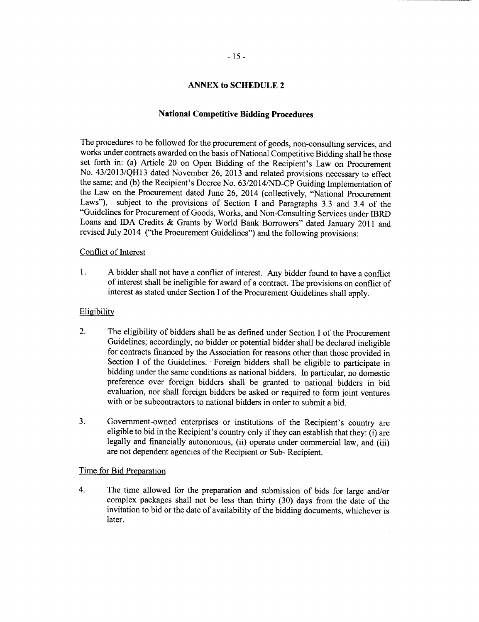# **ANNEX to SCHEDULE 2**

#### **National Competitive Bidding Procedures**

The procedures to be followed for the procurement of goods, non-consulting services, and works under contracts awarded on the basis of National Competitive Bidding shall be those set forth in: (a) Article 20 on Open Bidding of the Recipient's Law on Procurement No. **43/2013/QH13** dated November **26, 2013** and related provisions necessary to effect the same; and **(b)** the Recipient's Decree No. **63/2014/ND-CP** Guiding Implementation of the Law on the Procurement dated June **26,** 2014 (collectively, "National Procurement Laws"), subject to the provisions of Section **I** and Paragraphs **3.3** and 3.4 of the "Guidelines for Procurement of Goods, Works, and Non-Consulting Services under IBRD Loans and **IDA** Credits **&** Grants **by** World Bank Borrowers" dated January 2011 and revised July 2014 ("the Procurement Guidelines") and the following provisions:

#### Conflict of Interest

**1. A** bidder shall not have a conflict of interest. Any bidder found to have a conflict of interest shall be ineligible for award of a contract. The provisions on conflict of interest as stated under Section **I** of the Procurement Guidelines shall apply.

#### Eligibility

- 2. The eligibility of bidders shall be as defined under Section I of the Procurement Guidelines; accordingly, no bidder or potential bidder shall be declared ineligible for contracts financed by the Association for reasons other than those provided in Section I of the Guidelines. Foreign bidders shall be eligible to participate in bidding under the same conditions as national bidders. In particular, no domestic preference over foreign bidders shall be granted to national bidders in bid evaluation, nor shall foreign bidders be asked or required to form joint ventures with or be subcontractors to national bidders in order to submit a bid.
- **3.** Government-owned enterprises or institutions of the Recipient's country are eligible to bid in the Recipient's country only if they can establish that they: (i) are legally and financially autonomous, (ii) operate under commercial law, and (iii) are not dependent agencies of the Recipient or Sub- Recipient.

# Time for Bid Preparation

4. The time allowed for the preparation and submission of bids for large and/or complex packages shall not be less than thirty **(30)** days from the date of the invitation to bid or the date of availability of the bidding documents, whichever is later.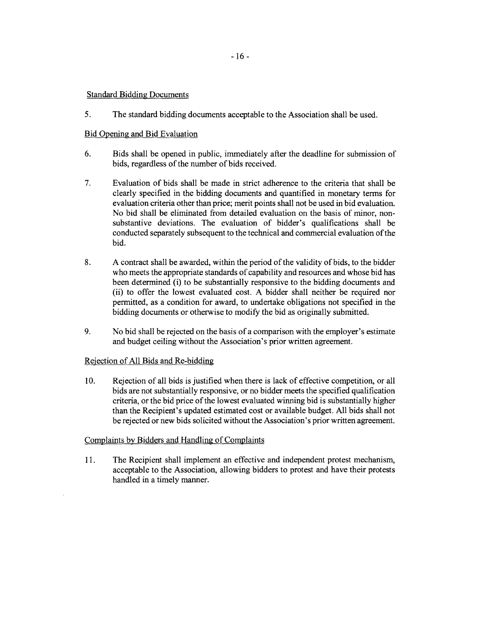# Standard Bidding Documents

**5.** The standard bidding documents acceptable to the Association shall be used.

# Bid Opening and Bid Evaluation

- **6.** Bids shall be opened in public, immediately after the deadline for submission of bids, regardless of the number of bids received.
- **7.** Evaluation of bids shall be made in strict adherence to the criteria that shall be clearly specified in the bidding documents and quantified in monetary terms for evaluation criteria other than price; merit points shall not be used in bid evaluation. No bid shall be eliminated from detailed evaluation on the basis of minor, nonsubstantive deviations. The evaluation of bidder's qualifications shall be conducted separately subsequent to the technical and commercial evaluation of the bid.
- **8. A** contract shall be awarded, within the period of the validity of bids, to the bidder who meets the appropriate standards of capability and resources and whose bid has been determined (i) to be substantially responsive to the bidding documents and (ii) to offer the lowest evaluated cost. **A** bidder shall neither be required nor permitted, as a condition for award, to undertake obligations not specified in the bidding documents or otherwise to modify the bid as originally submitted.
- **9.** No bid shall be rejected on the basis of a comparison with the employer's estimate and budget ceiling without the Association's prior written agreement.

# Rejection of **All** Bids and Re-bidding

**10.** Rejection of all bids is justified when there is lack of effective competition, or all criteria, or the bid price of the lowest evaluated winning bid is substantially higher than the Recipient's updated estimated cost or available budget. All bids shall not be rejected or new bids solicited without the Association's prior written agreement.

# Complaints **by** Bidders and Handling of Complaints

**11.** The Recipient shall implement an effective and independent protest mechanism, acceptable to the Association, allowing bidders to protest and have their protests handled in a timely manner.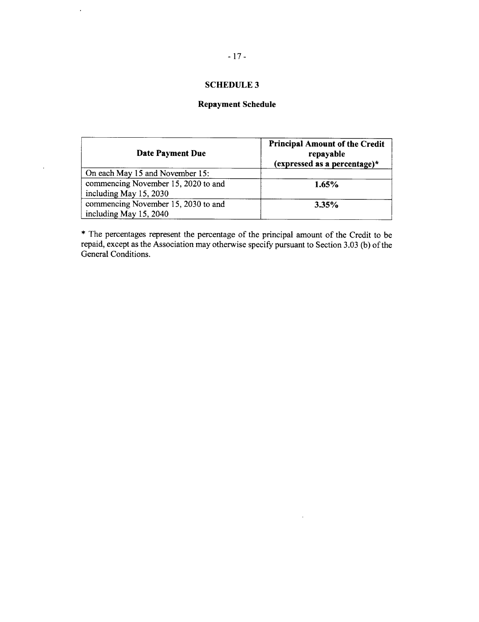# **SCHEDULE 3**

# **Repayment Schedule**

| Date Payment Due                                              | <b>Principal Amount of the Credit</b><br>repayable<br>(expressed as a percentage)* |
|---------------------------------------------------------------|------------------------------------------------------------------------------------|
| On each May 15 and November 15:                               |                                                                                    |
| commencing November 15, 2020 to and<br>including May 15, 2030 | 1.65%                                                                              |
| commencing November 15, 2030 to and<br>including May 15, 2040 | 3.35%                                                                              |

\* The percentages represent the percentage of the principal amount of the Credit to be repaid, except as the Association may otherwise specify pursuant to Section **3.03 (b)** of the General Conditions.

J.

 $\ddot{\phantom{0}}$ 

 $\ddot{\phantom{a}}$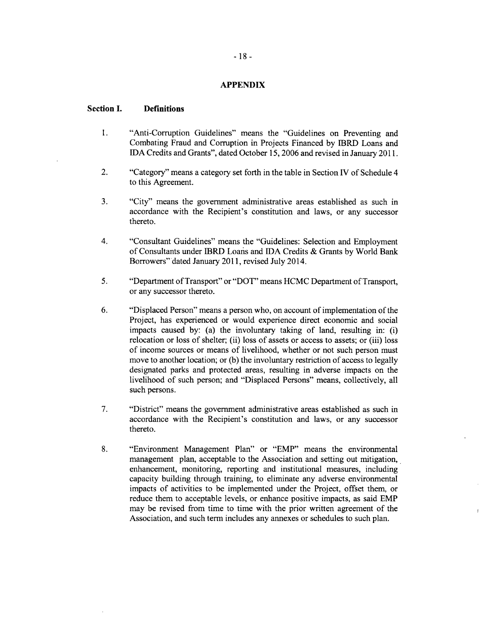#### **APPENDIX**

#### **Section I. Definitions**

- 1. "Anti-Corruption Guidelines" means the "Guidelines on Preventing and Combating Fraud and Corruption in Projects Financed **by** IBRD Loans and **IDA** Credits and Grants", dated October **15, 2006** and revised in January **2011.**
- 2. "Category" means a category set forth in the table in Section IV of Schedule 4 to this Agreement.
- **3.** "City" means the government administrative areas established as such in accordance with the Recipient's constitution and laws, or any successor thereto.
- 4. "Consultant Guidelines" means the "Guidelines: Selection and Employment of Consultants under IBRD Loans and **IDA** Credits **&** Grants **by** World Bank Borrowers" dated January **2011,** revised July 2014.
- **5.** "Department of Transport" or "DOT" means **HCMC** Department of Transport, or any successor thereto.
- **6.** "Displaced Person" means a person who, on account of implementation of the Project, has experienced or would experience direct economic and social impacts caused **by:** (a) the involuntary taking of land, resulting in: (i) relocation or loss of shelter; (ii) loss of assets or access to assets; or (iii) loss of income sources or means of livelihood, whether or not such person must move to another location; or **(b)** the involuntary restriction of access to legally designated parks and protected areas, resulting in adverse impacts on the livelihood of such person; and "Displaced Persons" means, collectively, all such persons.
- **7.** "District" means the government administrative areas established as such in accordance with the Recipient's constitution and laws, or any successor thereto.
- **8.** "Environment Management Plan" or "EMP" means the environmental management plan, acceptable to the Association and setting out mitigation, enhancement, monitoring, reporting and institutional measures, including capacity building through training, to eliminate any adverse environmental impacts of activities to be implemented under the Project, offset them, or reduce them to acceptable levels, or enhance positive impacts, as said EMP may be revised from time to time with the prior written agreement of the Association, and such term includes any annexes or schedules to such plan.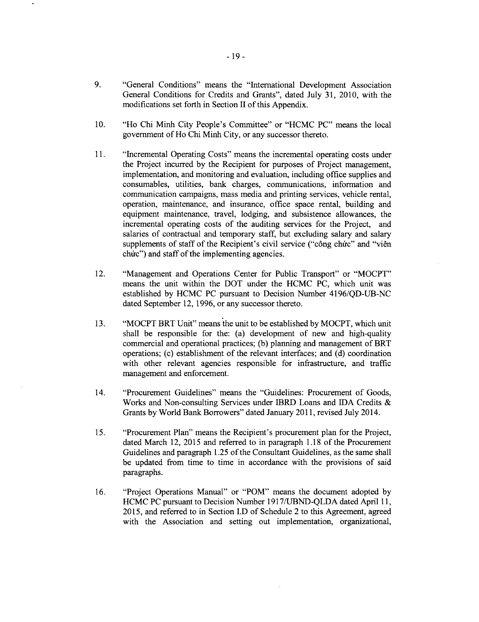- **9.** "General Conditions" means the "International Development Association General Conditions for Credits and Grants", dated July **31,** 2010, with the modifications set forth in Section II of this Appendix.
- **10.** "Ho Chi Minh City People's Committee" or **"HCMC PC"** means the local government of Ho Chi Minh City, or any successor thereto.
- **11.** "Incremental Operating Costs" means the incremental operating costs under the Project incurred **by** the Recipient for purposes of Project management, implementation, and monitoring and evaluation, including office supplies and consumables, utilities, bank charges, communications, information and communication campaigns, mass media and printing services, vehicle rental, operation, maintenance, and insurance, office space rental, building and equipment maintenance, travel, lodging, and subsistence allowances, the incremental operating costs of the auditing services for the Project, and salaries of contractual and temporary staff, but excluding salary and salary supplements of staff of the Recipient's civil service ("công chức" and "viên chúc") and staff of the implementing agencies.
- 12. "Management and Operations Center for Public Transport" or "MOCPT" means the unit within the DOT under the **HCMC PC,** which unit was established **by HCMC PC** pursuant to Decision Number **4196/QD-UB-NC** dated September 12, **1996,** or any successor thereto.
- **13.** "MOCPT BRT Unit" means the unit to be established **by** MOCPT, which unit shall be responsible for the: (a) development of new and high-quality commercial and operational practices; **(b)** planning and management of BRT operations; (c) establishment of the relevant interfaces; and **(d)** coordination with other relevant agencies responsible for infrastructure, and traffic management and enforcement.
- 14. "Procurement Guidelines" means the "Guidelines: Procurement of Goods, Works and Non-consulting Services under IBRD Loans and IDA Credits **&** Grants **by** World Bank Borrowers" dated January **2011,** revised July 2014.
- *15.* "Procurement Plan" means the Recipient's procurement plan for the Project, dated March 12, **2015** and referred to in paragraph **1.18** of the Procurement Guidelines and paragraph **1.25** of the Consultant Guidelines, as the same shall be updated from time to time in accordance with the provisions of said paragraphs.
- **16.** "Project Operations Manual" or "POM" means the document adopted **by HCMC PC** pursuant to Decision Number **1917/UBND-QLDA** dated April **11, 2015,** and referred to in Section **I.D** of Schedule 2 to this Agreement, agreed with the Association and setting out implementation, organizational,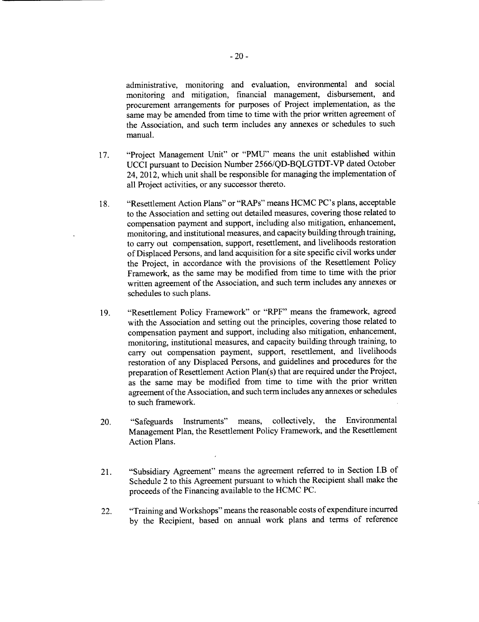administrative, monitoring and evaluation, environmental and social monitoring and mitigation, financial management, disbursement, and procurement arrangements for purposes of Project implementation, as the same may be amended from time to time with the prior written agreement of the Association, and such term includes any annexes or schedules to such manual.

- **17.** "Project Management Unit" or **"PMU"** means the unit established within **UCCI** pursuant to Decision Number **2566/QD-BQLGTDT-VP** dated October 24, 2012, which unit shall be responsible for managing the implementation of all Project activities, or any successor thereto.
- **18.** "Resettlement Action Plans" or "RAPs" means **HCMC** PC's plans, acceptable to the Association and setting out detailed measures, covering those related to compensation payment and support, including also mitigation, enhancement, monitoring, and institutional measures, and capacity building through training, to carry out compensation, support, resettlement, and livelihoods restoration of Displaced Persons, and land acquisition for a site specific civil works under the Project, in accordance with the provisions of the Resettlement Policy Framework, as the same may be modified from time to time with the prior written agreement of the Association, and such term includes any annexes or schedules to such plans.
- **19.** "Resettlement Policy Framework" or "RPF" means the framework, agreed with the Association and setting out the principles, covering those related to compensation payment and support, including also mitigation, enhancement, monitoring, institutional measures, and capacity building through training, to carry out compensation payment, support, resettlement, and livelihoods restoration of any Displaced Persons, and guidelines and procedures for the preparation of Resettlement Action Plan(s) that are required under the Project, as the same may be modified from time to time with the prior written agreement of the Association, and such term includes any annexes or schedules to such framework.
- 20. "Safeguards Instruments" means, collectively, the Environmental Management Plan, the Resettlement Policy Framework, and the Resettlement Action Plans.
- 21. "Subsidiary Agreement" means the agreement referred to in Section I.B of Schedule 2 to this Agreement pursuant to which the Recipient shall make the proceeds of the Financing available to the **HCMC PC.**
- 22. "Training and Workshops" means the reasonable costs of expenditure incurred **by** the Recipient, based on annual work plans and terms of reference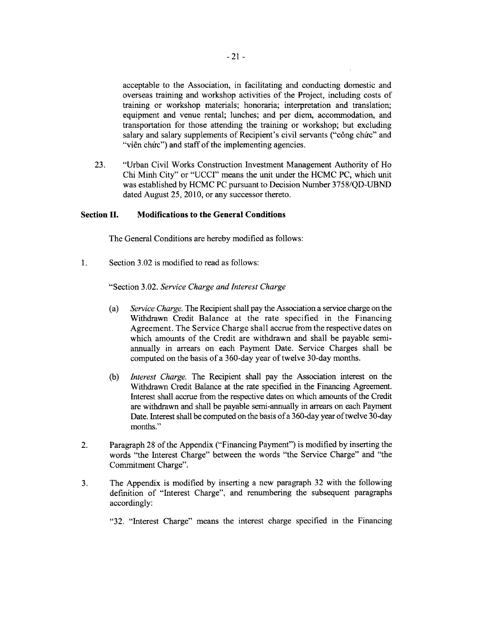acceptable to the Association, in facilitating and conducting domestic and overseas training and workshop activities of the Project, including costs of training or workshop materials; honoraria; interpretation and translation; equipment and venue rental; lunches; and per diem, accommodation, and transportation for those attending the training or workshop; but excluding salary and salary supplements of Recipient's civil servants ("công chức" and "viên chức") and staff of the implementing agencies.

**23.** "Urban Civil Works Construction Investment Management Authority of Ho Chi Minh City" or **"UCCI"** means the unit under the **HCMC PC,** which unit was established **by HCMC PC** pursuant to Decision Number *375* **8/QD-UBND** dated August **25, 2010,** or any successor thereto.

#### **Section II. Modifications to the General Conditions**

The General Conditions are hereby modified as follows:

1 **.** Section **3.02** is modified to read as follows:

"Section **3.02.** *Service Charge and Interest Charge*

- (a) *Service Charge.* The Recipient shall pay the Association a service charge on the Withdrawn Credit Balance at the rate specified in the Financing Agreement. The Service Charge shall accrue from the respective dates on which amounts of the Credit are withdrawn and shall be payable semiannually in arrears on each Payment Date. Service Charges shall be computed on the basis of a 360-day year of twelve 30-day months.
- **(b)** *Interest Charge.* The Recipient shall pay the Association interest on the Withdrawn Credit Balance at the rate specified in the Financing Agreement. Interest shall accrue from the respective dates on which amounts of the Credit are withdrawn and shall be payable semi-annually in arrears on each Payment Date. Interest shall be computed on the basis of a 360-day year of twelve 30-day months."
- 2. Paragraph **28** of the Appendix ("Financing Payment") is modified **by** inserting the words "the Interest Charge" between the words "the Service Charge" and "the Commitment Charge".
- **3.** The Appendix is modified **by** inserting a new paragraph **32** with the following definition of "Interest Charge", and renumbering the subsequent paragraphs accordingly:

**"32.** "Interest Charge" means the interest charge specified in the Financing